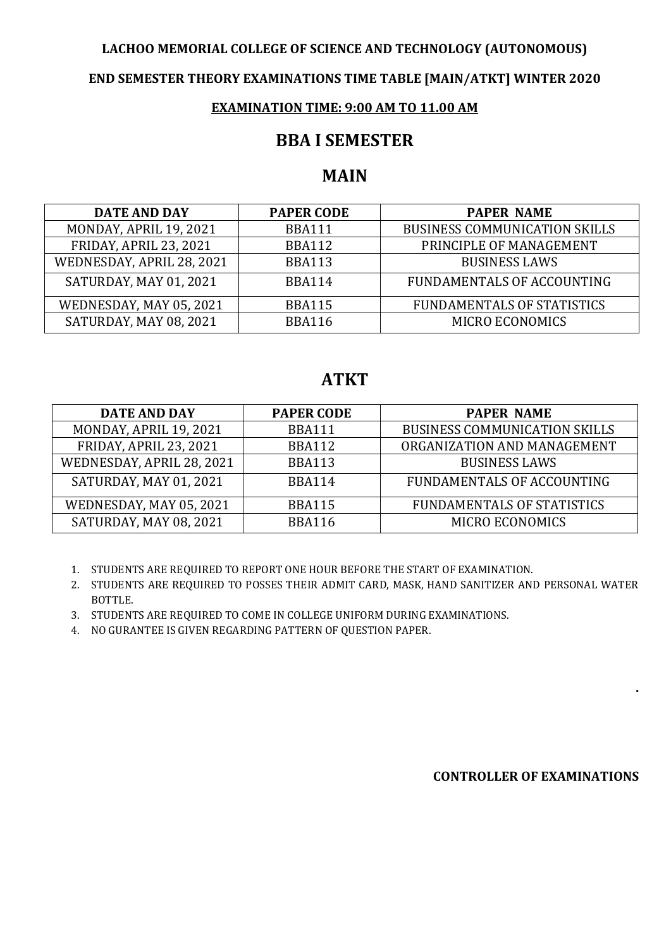#### **LACHOO MEMORIAL COLLEGE OF SCIENCE AND TECHNOLOGY (AUTONOMOUS)**

### **END SEMESTER THEORY EXAMINATIONS TIME TABLE [MAIN/ATKT] WINTER 2020**

### **EXAMINATION TIME: 9:00 AM TO 11.00 AM**

### **BBA I SEMESTER**

# **MAIN**

| <b>DATE AND DAY</b>       | <b>PAPER CODE</b> | <b>PAPER NAME</b>                    |
|---------------------------|-------------------|--------------------------------------|
| MONDAY, APRIL 19, 2021    | <b>BBA111</b>     | <b>BUSINESS COMMUNICATION SKILLS</b> |
| FRIDAY, APRIL 23, 2021    | <b>BBA112</b>     | PRINCIPLE OF MANAGEMENT              |
| WEDNESDAY, APRIL 28, 2021 | <b>BBA113</b>     | <b>BUSINESS LAWS</b>                 |
| SATURDAY, MAY 01, 2021    | <b>BBA114</b>     | FUNDAMENTALS OF ACCOUNTING           |
| WEDNESDAY, MAY 05, 2021   | <b>BBA115</b>     | <b>FUNDAMENTALS OF STATISTICS</b>    |
| SATURDAY, MAY 08, 2021    | <b>BBA116</b>     | <b>MICRO ECONOMICS</b>               |

# **ATKT**

| <b>DATE AND DAY</b>           | <b>PAPER CODE</b> | <b>PAPER NAME</b>                    |
|-------------------------------|-------------------|--------------------------------------|
| MONDAY, APRIL 19, 2021        | <b>BBA111</b>     | <b>BUSINESS COMMUNICATION SKILLS</b> |
| <b>FRIDAY, APRIL 23, 2021</b> | <b>BBA112</b>     | ORGANIZATION AND MANAGEMENT          |
| WEDNESDAY, APRIL 28, 2021     | <b>BBA113</b>     | <b>BUSINESS LAWS</b>                 |
| SATURDAY, MAY 01, 2021        | <b>BBA114</b>     | FUNDAMENTALS OF ACCOUNTING           |
| WEDNESDAY, MAY 05, 2021       | <b>BBA115</b>     | <b>FUNDAMENTALS OF STATISTICS</b>    |
| SATURDAY, MAY 08, 2021        | <b>BBA116</b>     | <b>MICRO ECONOMICS</b>               |

1. STUDENTS ARE REQUIRED TO REPORT ONE HOUR BEFORE THE START OF EXAMINATION.

2. STUDENTS ARE REQUIRED TO POSSES THEIR ADMIT CARD, MASK, HAND SANITIZER AND PERSONAL WATER BOTTLE.

3. STUDENTS ARE REQUIRED TO COME IN COLLEGE UNIFORM DURING EXAMINATIONS.

4. NO GURANTEE IS GIVEN REGARDING PATTERN OF QUESTION PAPER.

#### **CONTROLLER OF EXAMINATIONS**

**.**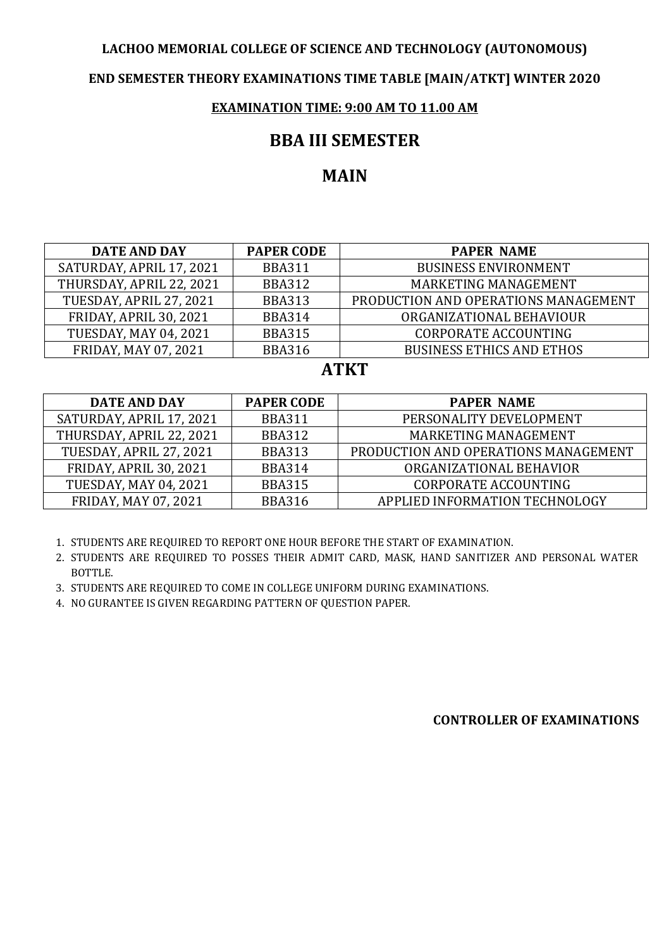### **LACHOO MEMORIAL COLLEGE OF SCIENCE AND TECHNOLOGY (AUTONOMOUS)**

### **END SEMESTER THEORY EXAMINATIONS TIME TABLE [MAIN/ATKT] WINTER 2020**

### **EXAMINATION TIME: 9:00 AM TO 11.00 AM**

### **BBA III SEMESTER**

# **MAIN**

| <b>DATE AND DAY</b>           | <b>PAPER CODE</b> | <b>PAPER NAME</b>                    |
|-------------------------------|-------------------|--------------------------------------|
| SATURDAY, APRIL 17, 2021      | <b>BBA311</b>     | <b>BUSINESS ENVIRONMENT</b>          |
| THURSDAY, APRIL 22, 2021      | <b>BBA312</b>     | MARKETING MANAGEMENT                 |
| TUESDAY, APRIL 27, 2021       | <b>BBA313</b>     | PRODUCTION AND OPERATIONS MANAGEMENT |
| <b>FRIDAY, APRIL 30, 2021</b> | <b>BBA314</b>     | ORGANIZATIONAL BEHAVIOUR             |
| <b>TUESDAY, MAY 04, 2021</b>  | <b>BBA315</b>     | <b>CORPORATE ACCOUNTING</b>          |
| <b>FRIDAY, MAY 07, 2021</b>   | <b>BBA316</b>     | <b>BUSINESS ETHICS AND ETHOS</b>     |

## **ATKT**

| DATE AND DAY                  | <b>PAPER CODE</b> | <b>PAPER NAME</b>                    |
|-------------------------------|-------------------|--------------------------------------|
| SATURDAY, APRIL 17, 2021      | <b>BBA311</b>     | PERSONALITY DEVELOPMENT              |
| THURSDAY, APRIL 22, 2021      | <b>BBA312</b>     | MARKETING MANAGEMENT                 |
| TUESDAY, APRIL 27, 2021       | <b>BBA313</b>     | PRODUCTION AND OPERATIONS MANAGEMENT |
| <b>FRIDAY, APRIL 30, 2021</b> | <b>BBA314</b>     | ORGANIZATIONAL BEHAVIOR              |
| <b>TUESDAY, MAY 04, 2021</b>  | <b>BBA315</b>     | <b>CORPORATE ACCOUNTING</b>          |
| FRIDAY, MAY 07, 2021          | <b>BBA316</b>     | APPLIED INFORMATION TECHNOLOGY       |

1. STUDENTS ARE REQUIRED TO REPORT ONE HOUR BEFORE THE START OF EXAMINATION.

2. STUDENTS ARE REQUIRED TO POSSES THEIR ADMIT CARD, MASK, HAND SANITIZER AND PERSONAL WATER BOTTLE.

3. STUDENTS ARE REQUIRED TO COME IN COLLEGE UNIFORM DURING EXAMINATIONS.

4. NO GURANTEE IS GIVEN REGARDING PATTERN OF QUESTION PAPER.

**CONTROLLER OF EXAMINATIONS**